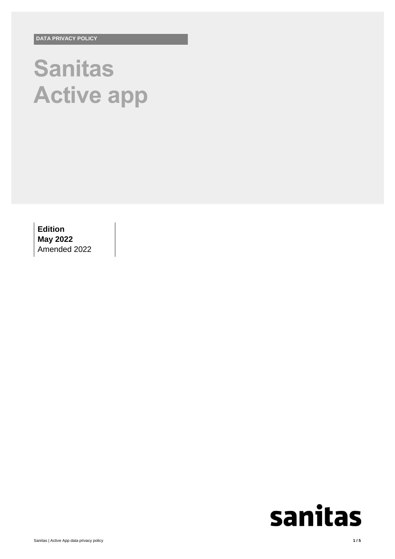# **Sanitas Active app**

**Edition May 2022** Amended 2022

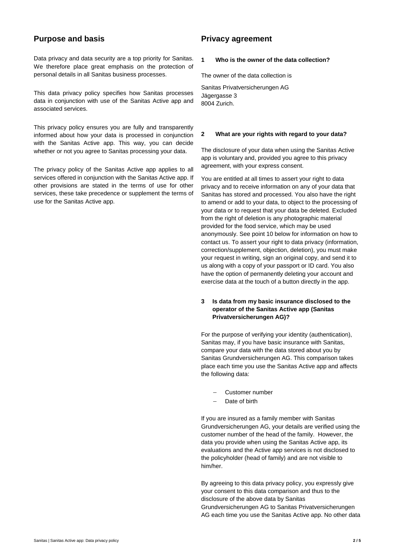## **Purpose and basis**

Data privacy and data security are a top priority for Sanitas. We therefore place great emphasis on the protection of personal details in all Sanitas business processes.

This data privacy policy specifies how Sanitas processes data in conjunction with use of the Sanitas Active app and associated services.

This privacy policy ensures you are fully and transparently informed about how your data is processed in conjunction with the Sanitas Active app. This way, you can decide whether or not you agree to Sanitas processing your data.

The privacy policy of the Sanitas Active app applies to all services offered in conjunction with the Sanitas Active app. If other provisions are stated in the terms of use for other services, these take precedence or supplement the terms of use for the Sanitas Active app.

## **Privacy agreement**

#### **1 Who is the owner of the data collection?**

The owner of the data collection is

Sanitas Privatversicherungen AG Jägergasse 3 8004 Zurich.

#### **2 What are your rights with regard to your data?**

The disclosure of your data when using the Sanitas Active app is voluntary and, provided you agree to this privacy agreement, with your express consent.

You are entitled at all times to assert your right to data privacy and to receive information on any of your data that Sanitas has stored and processed. You also have the right to amend or add to your data, to object to the processing of your data or to request that your data be deleted. Excluded from the right of deletion is any photographic material provided for the food service, which may be used anonymously. See point 10 below for information on how to contact us. To assert your right to data privacy (information, correction/supplement, objection, deletion), you must make your request in writing, sign an original copy, and send it to us along with a copy of your passport or ID card. You also have the option of permanently deleting your account and exercise data at the touch of a button directly in the app.

## **3 Is data from my basic insurance disclosed to the operator of the Sanitas Active app (Sanitas Privatversicherungen AG)?**

For the purpose of verifying your identity (authentication), Sanitas may, if you have basic insurance with Sanitas, compare your data with the data stored about you by Sanitas Grundversicherungen AG. This comparison takes place each time you use the Sanitas Active app and affects the following data:

- Customer number
- Date of birth

If you are insured as a family member with Sanitas Grundversicherungen AG, your details are verified using the customer number of the head of the family. However, the data you provide when using the Sanitas Active app, its evaluations and the Active app services is not disclosed to the policyholder (head of family) and are not visible to him/her.

By agreeing to this data privacy policy, you expressly give your consent to this data comparison and thus to the disclosure of the above data by Sanitas Grundversicherungen AG to Sanitas Privatversicherungen AG each time you use the Sanitas Active app. No other data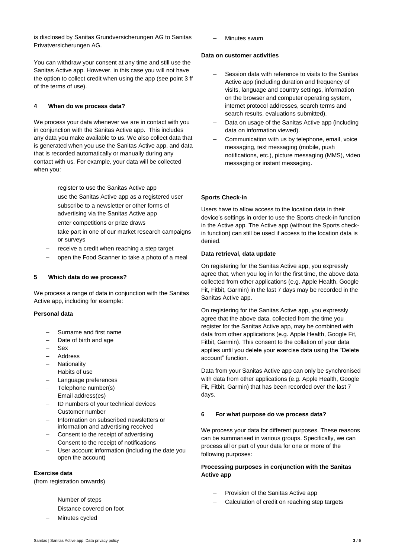is disclosed by Sanitas Grundversicherungen AG to Sanitas Privatversicherungen AG.

You can withdraw your consent at any time and still use the Sanitas Active app. However, in this case you will not have the option to collect credit when using the app (see point 3 ff of the terms of use).

#### **4 When do we process data?**

We process your data whenever we are in contact with you in conjunction with the Sanitas Active app. This includes any data you make available to us. We also collect data that is generated when you use the Sanitas Active app, and data that is recorded automatically or manually during any contact with us. For example, your data will be collected when you:

- register to use the Sanitas Active app
- use the Sanitas Active app as a registered user
- subscribe to a newsletter or other forms of advertising via the Sanitas Active app
- enter competitions or prize draws
- take part in one of our market research campaigns or surveys
- receive a credit when reaching a step target
- open the Food Scanner to take a photo of a meal

#### **5 Which data do we process?**

We process a range of data in conjunction with the Sanitas Active app, including for example:

#### **Personal data**

- Surname and first name
- Date of birth and age
- Sex
- Address
- Nationality
- Habits of use
- Language preferences
- Telephone number(s)
- Email address(es)
- ID numbers of your technical devices
- Customer number
- Information on subscribed newsletters or information and advertising received
- Consent to the receipt of advertising
- Consent to the receipt of notifications
- User account information (including the date you open the account)

#### **Exercise data**

(from registration onwards)

- Number of steps
- Distance covered on foot
- Minutes cycled

Minutes swum

#### **Data on customer activities**

- Session data with reference to visits to the Sanitas Active app (including duration and frequency of visits, language and country settings, information on the browser and computer operating system, internet protocol addresses, search terms and search results, evaluations submitted).
- Data on usage of the Sanitas Active app (including data on information viewed).
- Communication with us by telephone, email, voice messaging, text messaging (mobile, push notifications, etc.), picture messaging (MMS), video messaging or instant messaging.

## **Sports Check-in**

Users have to allow access to the location data in their device's settings in order to use the Sports check-in function in the Active app. The Active app (without the Sports checkin function) can still be used if access to the location data is denied.

#### **Data retrieval, data update**

On registering for the Sanitas Active app, you expressly agree that, when you log in for the first time, the above data collected from other applications (e.g. Apple Health, Google Fit, Fitbit, Garmin) in the last 7 days may be recorded in the Sanitas Active app.

On registering for the Sanitas Active app, you expressly agree that the above data, collected from the time you register for the Sanitas Active app, may be combined with data from other applications (e.g. Apple Health, Google Fit, Fitbit, Garmin). This consent to the collation of your data applies until you delete your exercise data using the "Delete account" function.

Data from your Sanitas Active app can only be synchronised with data from other applications (e.g. Apple Health, Google Fit, Fitbit, Garmin) that has been recorded over the last 7 days.

#### **6 For what purpose do we process data?**

We process your data for different purposes. These reasons can be summarised in various groups. Specifically, we can process all or part of your data for one or more of the following purposes:

## **Processing purposes in conjunction with the Sanitas Active app**

- Provision of the Sanitas Active app
- Calculation of credit on reaching step targets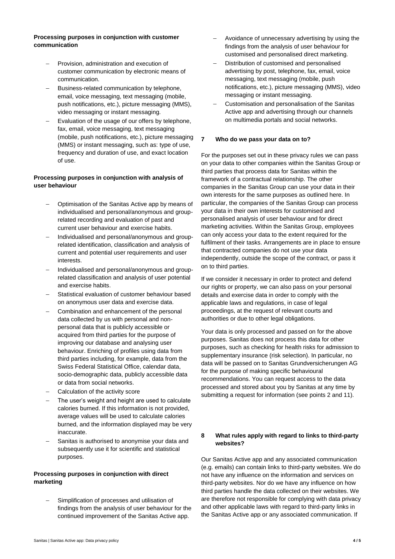#### **Processing purposes in conjunction with customer communication**

- Provision, administration and execution of customer communication by electronic means of communication.
- Business-related communication by telephone, email, voice messaging, text messaging (mobile, push notifications, etc.), picture messaging (MMS), video messaging or instant messaging.
- Evaluation of the usage of our offers by telephone, fax, email, voice messaging, text messaging (mobile, push notifications, etc.), picture messaging (MMS) or instant messaging, such as: type of use, frequency and duration of use, and exact location of use.

## **Processing purposes in conjunction with analysis of user behaviour**

- Optimisation of the Sanitas Active app by means of individualised and personal/anonymous and grouprelated recording and evaluation of past and current user behaviour and exercise habits.
- Individualised and personal/anonymous and grouprelated identification, classification and analysis of current and potential user requirements and user interests.
- Individualised and personal/anonymous and grouprelated classification and analysis of user potential and exercise habits.
- Statistical evaluation of customer behaviour based on anonymous user data and exercise data.
- Combination and enhancement of the personal data collected by us with personal and nonpersonal data that is publicly accessible or acquired from third parties for the purpose of improving our database and analysing user behaviour. Enriching of profiles using data from third parties including, for example, data from the Swiss Federal Statistical Office, calendar data, socio-demographic data, publicly accessible data or data from social networks.
- Calculation of the activity score
- The user's weight and height are used to calculate calories burned. If this information is not provided, average values will be used to calculate calories burned, and the information displayed may be very inaccurate.
- Sanitas is authorised to anonymise your data and subsequently use it for scientific and statistical purposes.

## **Processing purposes in conjunction with direct marketing**

 Simplification of processes and utilisation of findings from the analysis of user behaviour for the continued improvement of the Sanitas Active app.

- Avoidance of unnecessary advertising by using the findings from the analysis of user behaviour for customised and personalised direct marketing.
- Distribution of customised and personalised advertising by post, telephone, fax, email, voice messaging, text messaging (mobile, push notifications, etc.), picture messaging (MMS), video messaging or instant messaging.
- Customisation and personalisation of the Sanitas Active app and advertising through our channels on multimedia portals and social networks.

#### **7 Who do we pass your data on to?**

For the purposes set out in these privacy rules we can pass on your data to other companies within the Sanitas Group or third parties that process data for Sanitas within the framework of a contractual relationship. The other companies in the Sanitas Group can use your data in their own interests for the same purposes as outlined here. In particular, the companies of the Sanitas Group can process your data in their own interests for customised and personalised analysis of user behaviour and for direct marketing activities. Within the Sanitas Group, employees can only access your data to the extent required for the fulfilment of their tasks. Arrangements are in place to ensure that contracted companies do not use your data independently, outside the scope of the contract, or pass it on to third parties.

If we consider it necessary in order to protect and defend our rights or property, we can also pass on your personal details and exercise data in order to comply with the applicable laws and regulations, in case of legal proceedings, at the request of relevant courts and authorities or due to other legal obligations.

Your data is only processed and passed on for the above purposes. Sanitas does not process this data for other purposes, such as checking for health risks for admission to supplementary insurance (risk selection). In particular, no data will be passed on to Sanitas Grundversicherungen AG for the purpose of making specific behavioural recommendations. You can request access to the data processed and stored about you by Sanitas at any time by submitting a request for information (see points 2 and 11).

## **8 What rules apply with regard to links to third-party websites?**

Our Sanitas Active app and any associated communication (e.g. emails) can contain links to third-party websites. We do not have any influence on the information and services on third-party websites. Nor do we have any influence on how third parties handle the data collected on their websites. We are therefore not responsible for complying with data privacy and other applicable laws with regard to third-party links in the Sanitas Active app or any associated communication. If